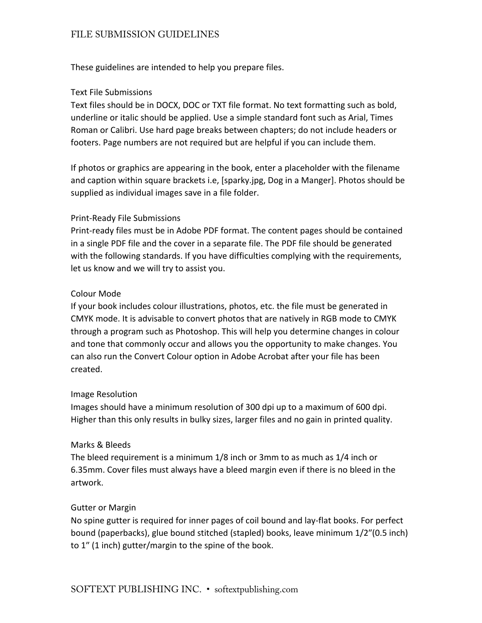# FILE SUBMISSION GUIDELINES

These guidelines are intended to help you prepare files.

### Text File Submissions

Text files should be in DOCX, DOC or TXT file format. No text formatting such as bold, underline or italic should be applied. Use a simple standard font such as Arial, Times Roman or Calibri. Use hard page breaks between chapters; do not include headers or footers. Page numbers are not required but are helpful if you can include them.

If photos or graphics are appearing in the book, enter a placeholder with the filename and caption within square brackets i.e, [sparky.jpg, Dog in a Manger]. Photos should be supplied as individual images save in a file folder.

### Print-Ready File Submissions

Print-ready files must be in Adobe PDF format. The content pages should be contained in a single PDF file and the cover in a separate file. The PDF file should be generated with the following standards. If you have difficulties complying with the requirements, let us know and we will try to assist you.

### Colour Mode

If your book includes colour illustrations, photos, etc. the file must be generated in CMYK mode. It is advisable to convert photos that are natively in RGB mode to CMYK through a program such as Photoshop. This will help you determine changes in colour and tone that commonly occur and allows you the opportunity to make changes. You can also run the Convert Colour option in Adobe Acrobat after your file has been created.

### Image Resolution

Images should have a minimum resolution of 300 dpi up to a maximum of 600 dpi. Higher than this only results in bulky sizes, larger files and no gain in printed quality.

### Marks & Bleeds

The bleed requirement is a minimum 1/8 inch or 3mm to as much as 1/4 inch or 6.35mm. Cover files must always have a bleed margin even if there is no bleed in the artwork.

### Gutter or Margin

No spine gutter is required for inner pages of coil bound and lay-flat books. For perfect bound (paperbacks), glue bound stitched (stapled) books, leave minimum 1/2″(0.5 inch) to 1″ (1 inch) gutter/margin to the spine of the book.